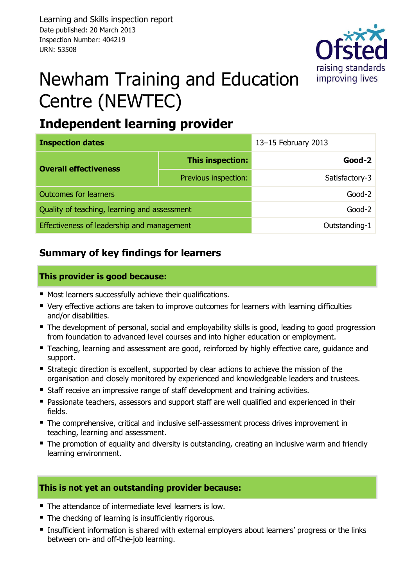

# Newham Training and Education Centre (NEWTEC)

# **Independent learning provider**

| <b>Inspection dates</b>                      |                      | 13-15 February 2013 |  |  |
|----------------------------------------------|----------------------|---------------------|--|--|
| <b>Overall effectiveness</b>                 | This inspection:     | Good-2              |  |  |
|                                              | Previous inspection: | Satisfactory-3      |  |  |
| <b>Outcomes for learners</b>                 |                      | $Good-2$            |  |  |
| Quality of teaching, learning and assessment |                      | $Good-2$            |  |  |
| Effectiveness of leadership and management   |                      | Outstanding-1       |  |  |

### **Summary of key findings for learners**

#### **This provider is good because:**

- Most learners successfully achieve their qualifications.
- Very effective actions are taken to improve outcomes for learners with learning difficulties and/or disabilities.
- The development of personal, social and employability skills is good, leading to good progression from foundation to advanced level courses and into higher education or employment.
- **Teaching, learning and assessment are good, reinforced by highly effective care, guidance and** support.
- Strategic direction is excellent, supported by clear actions to achieve the mission of the organisation and closely monitored by experienced and knowledgeable leaders and trustees.
- Staff receive an impressive range of staff development and training activities.
- **Passionate teachers, assessors and support staff are well qualified and experienced in their** fields.
- The comprehensive, critical and inclusive self-assessment process drives improvement in teaching, learning and assessment.
- The promotion of equality and diversity is outstanding, creating an inclusive warm and friendly learning environment.

#### **This is not yet an outstanding provider because:**

- The attendance of intermediate level learners is low.
- **The checking of learning is insufficiently rigorous.**
- **Insufficient information is shared with external employers about learners' progress or the links** between on- and off-the-job learning.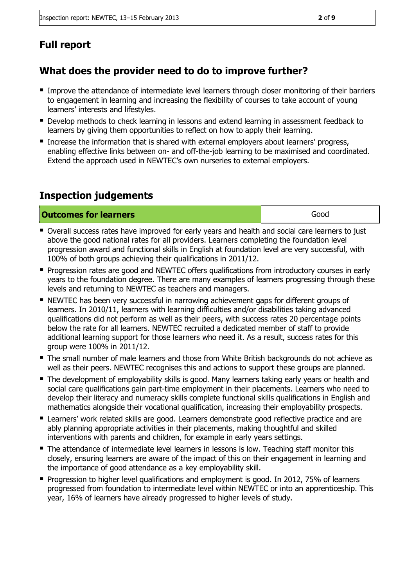## **Full report**

#### **What does the provider need to do to improve further?**

- Improve the attendance of intermediate level learners through closer monitoring of their barriers to engagement in learning and increasing the flexibility of courses to take account of young learners' interests and lifestyles.
- Develop methods to check learning in lessons and extend learning in assessment feedback to learners by giving them opportunities to reflect on how to apply their learning.
- **Increase the information that is shared with external employers about learners' progress,** enabling effective links between on- and off-the-job learning to be maximised and coordinated. Extend the approach used in NEWTEC's own nurseries to external employers.

#### **Inspection judgements**

**Outcomes for learners Good Good** 

- **Diverall success rates have improved for early years and health and social care learners to just** above the good national rates for all providers. Learners completing the foundation level progression award and functional skills in English at foundation level are very successful, with 100% of both groups achieving their qualifications in 2011/12.
- **Progression rates are good and NEWTEC offers qualifications from introductory courses in early** years to the foundation degree. There are many examples of learners progressing through these levels and returning to NEWTEC as teachers and managers.
- NEWTEC has been very successful in narrowing achievement gaps for different groups of learners. In 2010/11, learners with learning difficulties and/or disabilities taking advanced qualifications did not perform as well as their peers, with success rates 20 percentage points below the rate for all learners. NEWTEC recruited a dedicated member of staff to provide additional learning support for those learners who need it. As a result, success rates for this group were 100% in 2011/12.
- The small number of male learners and those from White British backgrounds do not achieve as well as their peers. NEWTEC recognises this and actions to support these groups are planned.
- The development of employability skills is good. Many learners taking early years or health and social care qualifications gain part-time employment in their placements. Learners who need to develop their literacy and numeracy skills complete functional skills qualifications in English and mathematics alongside their vocational qualification, increasing their employability prospects.
- **E** Learners' work related skills are good. Learners demonstrate good reflective practice and are ably planning appropriate activities in their placements, making thoughtful and skilled interventions with parents and children, for example in early years settings.
- The attendance of intermediate level learners in lessons is low. Teaching staff monitor this closely, ensuring learners are aware of the impact of this on their engagement in learning and the importance of good attendance as a key employability skill.
- Progression to higher level qualifications and employment is good. In 2012, 75% of learners progressed from foundation to intermediate level within NEWTEC or into an apprenticeship. This year, 16% of learners have already progressed to higher levels of study.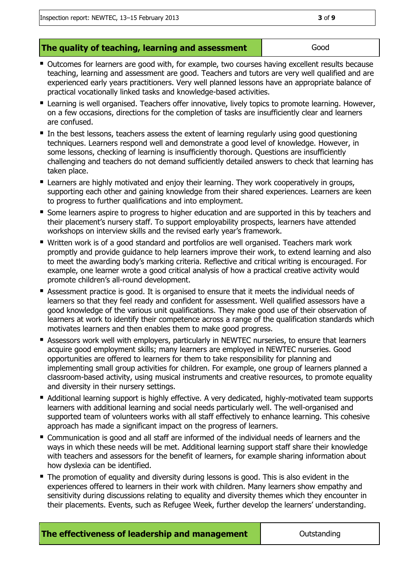- Outcomes for learners are good with, for example, two courses having excellent results because teaching, learning and assessment are good. Teachers and tutors are very well qualified and are experienced early years practitioners. Very well planned lessons have an appropriate balance of practical vocationally linked tasks and knowledge-based activities.
- **E** Learning is well organised. Teachers offer innovative, lively topics to promote learning. However, on a few occasions, directions for the completion of tasks are insufficiently clear and learners are confused.
- In the best lessons, teachers assess the extent of learning regularly using good questioning techniques. Learners respond well and demonstrate a good level of knowledge. However, in some lessons, checking of learning is insufficiently thorough. Questions are insufficiently challenging and teachers do not demand sufficiently detailed answers to check that learning has taken place.
- **E** Learners are highly motivated and enjoy their learning. They work cooperatively in groups, supporting each other and gaining knowledge from their shared experiences. Learners are keen to progress to further qualifications and into employment.
- Some learners aspire to progress to higher education and are supported in this by teachers and their placement's nursery staff. To support employability prospects, learners have attended workshops on interview skills and the revised early year's framework.
- Written work is of a good standard and portfolios are well organised. Teachers mark work promptly and provide guidance to help learners improve their work, to extend learning and also to meet the awarding body's marking criteria. Reflective and critical writing is encouraged. For example, one learner wrote a good critical analysis of how a practical creative activity would promote children's all-round development.
- **EXECT** Assessment practice is good. It is organised to ensure that it meets the individual needs of learners so that they feel ready and confident for assessment. Well qualified assessors have a good knowledge of the various unit qualifications. They make good use of their observation of learners at work to identify their competence across a range of the qualification standards which motivates learners and then enables them to make good progress.
- **E** Assessors work well with employers, particularly in NEWTEC nurseries, to ensure that learners acquire good employment skills; many learners are employed in NEWTEC nurseries. Good opportunities are offered to learners for them to take responsibility for planning and implementing small group activities for children. For example, one group of learners planned a classroom-based activity, using musical instruments and creative resources, to promote equality and diversity in their nursery settings.
- Additional learning support is highly effective. A very dedicated, highly-motivated team supports learners with additional learning and social needs particularly well. The well-organised and supported team of volunteers works with all staff effectively to enhance learning. This cohesive approach has made a significant impact on the progress of learners.
- Communication is good and all staff are informed of the individual needs of learners and the ways in which these needs will be met. Additional learning support staff share their knowledge with teachers and assessors for the benefit of learners, for example sharing information about how dyslexia can be identified.
- The promotion of equality and diversity during lessons is good. This is also evident in the experiences offered to learners in their work with children. Many learners show empathy and sensitivity during discussions relating to equality and diversity themes which they encounter in their placements. Events, such as Refugee Week, further develop the learners' understanding.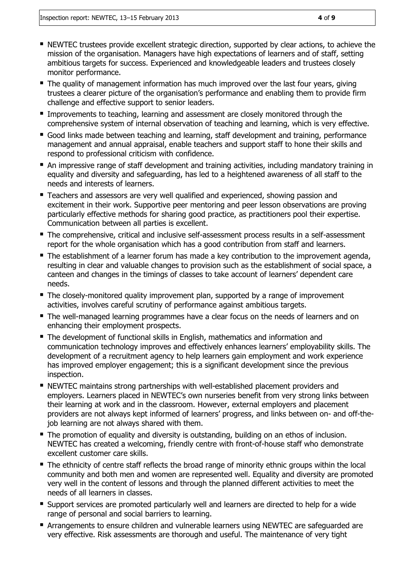- NEWTEC trustees provide excellent strategic direction, supported by clear actions, to achieve the mission of the organisation. Managers have high expectations of learners and of staff, setting ambitious targets for success. Experienced and knowledgeable leaders and trustees closely monitor performance.
- The quality of management information has much improved over the last four years, giving trustees a clearer picture of the organisation's performance and enabling them to provide firm challenge and effective support to senior leaders.
- **Improvements to teaching, learning and assessment are closely monitored through the** comprehensive system of internal observation of teaching and learning, which is very effective.
- Good links made between teaching and learning, staff development and training, performance management and annual appraisal, enable teachers and support staff to hone their skills and respond to professional criticism with confidence.
- An impressive range of staff development and training activities, including mandatory training in equality and diversity and safeguarding, has led to a heightened awareness of all staff to the needs and interests of learners.
- **Teachers and assessors are very well qualified and experienced, showing passion and** excitement in their work. Supportive peer mentoring and peer lesson observations are proving particularly effective methods for sharing good practice, as practitioners pool their expertise. Communication between all parties is excellent.
- The comprehensive, critical and inclusive self-assessment process results in a self-assessment report for the whole organisation which has a good contribution from staff and learners.
- The establishment of a learner forum has made a key contribution to the improvement agenda, resulting in clear and valuable changes to provision such as the establishment of social space, a canteen and changes in the timings of classes to take account of learners' dependent care needs.
- The closely-monitored quality improvement plan, supported by a range of improvement activities, involves careful scrutiny of performance against ambitious targets.
- The well-managed learning programmes have a clear focus on the needs of learners and on enhancing their employment prospects.
- The development of functional skills in English, mathematics and information and communication technology improves and effectively enhances learners' employability skills. The development of a recruitment agency to help learners gain employment and work experience has improved employer engagement; this is a significant development since the previous inspection.
- NEWTEC maintains strong partnerships with well-established placement providers and employers. Learners placed in NEWTEC's own nurseries benefit from very strong links between their learning at work and in the classroom. However, external employers and placement providers are not always kept informed of learners' progress, and links between on- and off-thejob learning are not always shared with them.
- The promotion of equality and diversity is outstanding, building on an ethos of inclusion. NEWTEC has created a welcoming, friendly centre with front-of-house staff who demonstrate excellent customer care skills.
- The ethnicity of centre staff reflects the broad range of minority ethnic groups within the local community and both men and women are represented well. Equality and diversity are promoted very well in the content of lessons and through the planned different activities to meet the needs of all learners in classes.
- **E** Support services are promoted particularly well and learners are directed to help for a wide range of personal and social barriers to learning.
- Arrangements to ensure children and vulnerable learners using NEWTEC are safeguarded are very effective. Risk assessments are thorough and useful. The maintenance of very tight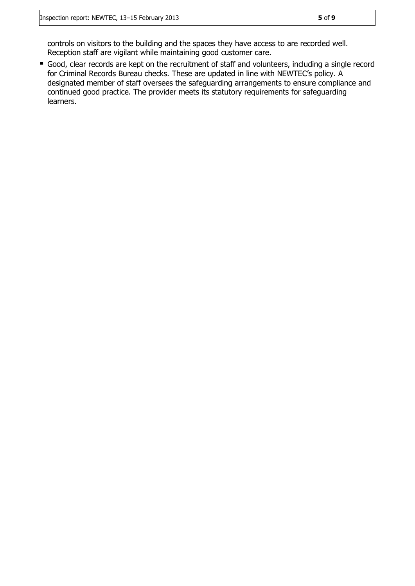controls on visitors to the building and the spaces they have access to are recorded well. Reception staff are vigilant while maintaining good customer care.

Good, clear records are kept on the recruitment of staff and volunteers, including a single record for Criminal Records Bureau checks. These are updated in line with NEWTEC's policy. A designated member of staff oversees the safeguarding arrangements to ensure compliance and continued good practice. The provider meets its statutory requirements for safeguarding learners.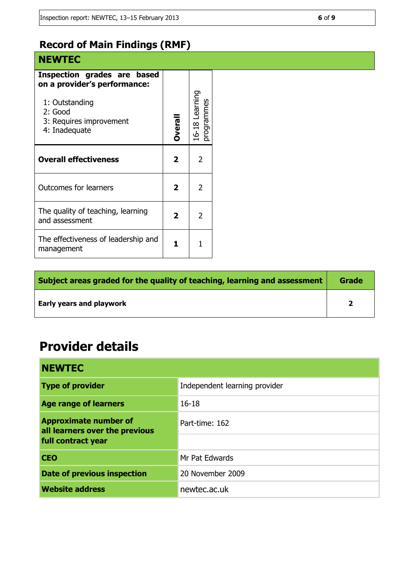## **Record of Main Findings (RMF)**

| <b>NEWTEC</b>                                                                                                                        |                |                             |
|--------------------------------------------------------------------------------------------------------------------------------------|----------------|-----------------------------|
| Inspection grades are based<br>on a provider's performance:<br>1: Outstanding<br>2: Good<br>3: Requires improvement<br>4: Inadequate | <b>Overall</b> | 16-18 Learning<br>rogrammes |
| <b>Overall effectiveness</b>                                                                                                         | 2              | 2                           |
| <b>Outcomes for learners</b>                                                                                                         | 2              | 2                           |
| The quality of teaching, learning<br>and assessment                                                                                  | 2              | 2                           |
| The effectiveness of leadership and<br>management                                                                                    | 1              | 1                           |

| Subject areas graded for the quality of teaching, learning and assessment |  |
|---------------------------------------------------------------------------|--|
| <b>Early years and playwork</b>                                           |  |

# **Provider details**

| <b>NEWTEC</b>                                                  |                               |  |
|----------------------------------------------------------------|-------------------------------|--|
| <b>Type of provider</b>                                        | Independent learning provider |  |
| <b>Age range of learners</b>                                   | $16 - 18$                     |  |
| <b>Approximate number of</b><br>all learners over the previous | Part-time: 162                |  |
| full contract year                                             |                               |  |
| <b>CEO</b>                                                     | Mr Pat Edwards                |  |
| <b>Date of previous inspection</b>                             | 20 November 2009              |  |
| <b>Website address</b>                                         | newtec.ac.uk                  |  |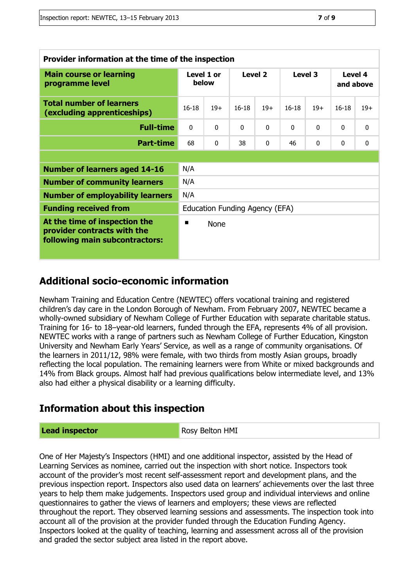| Provider information at the time of the inspection                                             |                                |             |              |          |           |          |                      |              |
|------------------------------------------------------------------------------------------------|--------------------------------|-------------|--------------|----------|-----------|----------|----------------------|--------------|
| <b>Main course or learning</b><br>programme level                                              | Level 1 or<br>below            |             | Level 2      |          | Level 3   |          | Level 4<br>and above |              |
| <b>Total number of learners</b><br>(excluding apprenticeships)                                 | $16 - 18$                      | $19+$       | $16 - 18$    | $19+$    | $16 - 18$ | $19+$    | $16 - 18$            | $19+$        |
| <b>Full-time</b>                                                                               | $\Omega$                       | $\Omega$    | $\mathbf{0}$ | $\Omega$ | $\Omega$  | $\Omega$ | $\Omega$             | $\mathbf{0}$ |
| <b>Part-time</b>                                                                               | 68                             | $\Omega$    | 38           | $\Omega$ | 46        | $\Omega$ | $\Omega$             | $\mathbf{0}$ |
|                                                                                                |                                |             |              |          |           |          |                      |              |
| <b>Number of learners aged 14-16</b>                                                           | N/A                            |             |              |          |           |          |                      |              |
| <b>Number of community learners</b>                                                            | N/A                            |             |              |          |           |          |                      |              |
| <b>Number of employability learners</b>                                                        | N/A                            |             |              |          |           |          |                      |              |
| <b>Funding received from</b>                                                                   | Education Funding Agency (EFA) |             |              |          |           |          |                      |              |
| At the time of inspection the<br>provider contracts with the<br>following main subcontractors: | ■                              | <b>None</b> |              |          |           |          |                      |              |

#### **Additional socio-economic information**

Newham Training and Education Centre (NEWTEC) offers vocational training and registered children's day care in the London Borough of Newham. From February 2007, NEWTEC became a wholly-owned subsidiary of Newham College of Further Education with separate charitable status. Training for 16- to 18–year-old learners, funded through the EFA, represents 4% of all provision. NEWTEC works with a range of partners such as Newham College of Further Education, Kingston University and Newham Early Years' Service, as well as a range of community organisations. Of the learners in 2011/12, 98% were female, with two thirds from mostly Asian groups, broadly reflecting the local population. The remaining learners were from White or mixed backgrounds and 14% from Black groups. Almost half had previous qualifications below intermediate level, and 13% also had either a physical disability or a learning difficulty.

#### **Information about this inspection**

#### **Lead inspector Rosy Belton HMI**

One of Her Majesty's Inspectors (HMI) and one additional inspector, assisted by the Head of Learning Services as nominee, carried out the inspection with short notice. Inspectors took account of the provider's most recent self-assessment report and development plans, and the previous inspection report. Inspectors also used data on learners' achievements over the last three years to help them make judgements. Inspectors used group and individual interviews and online questionnaires to gather the views of learners and employers; these views are reflected throughout the report. They observed learning sessions and assessments. The inspection took into account all of the provision at the provider funded through the Education Funding Agency. Inspectors looked at the quality of teaching, learning and assessment across all of the provision and graded the sector subject area listed in the report above.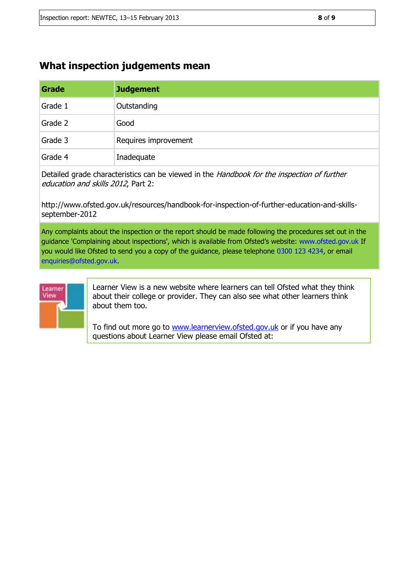#### **What inspection judgements mean**

[learnerview@ofsted.gov.uk](mailto:learnerview@ofsted.gov.uk)

| Grade   | <b>Judgement</b>     |
|---------|----------------------|
| Grade 1 | Outstanding          |
| Grade 2 | Good                 |
| Grade 3 | Requires improvement |
| Grade 4 | Inadequate           |

Detailed grade characteristics can be viewed in the Handbook for the inspection of further education and skills 2012, Part 2:

http://www.ofsted.gov.uk/resources/handbook-for-inspection-of-further-education-and-skillsseptember-2012

Any complaints about the inspection or the report should be made following the procedures set out in the guidance 'Complaining about inspections', which is available from Ofsted's website: www.ofsted.gov.uk If you would like Ofsted to send you a copy of the guidance, please telephone 0300 123 4234, or email enquiries@ofsted.gov.uk.



Learner View is a new website where learners can tell Ofsted what they think about their college or provider. They can also see what other learners think about them too.

To find out more go to [www.learnerview.ofsted.gov.uk](http://www.learnerview.ofsted.gov.uk/) or if you have any questions about Learner View please email Ofsted at: